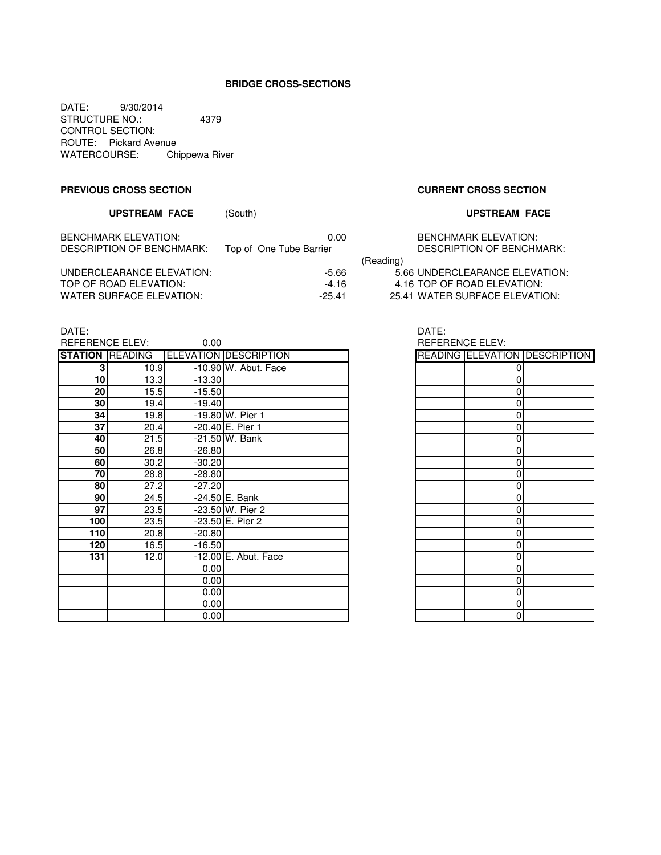## **BRIDGE CROSS-SECTIONS**

DATE: 9/30/2014 STRUCTURE NO.: 4379 CONTROL SECTION: ROUTE: Pickard Avenue WATERCOURSE: Chippewa River

### **PREVIOUS CROSS SECTION CURRENT CROSS SECTION**

# **UPSTREAM FACE** (South) **UPSTREAM FACE**

| <b>BENCHMARK ELEVATION:</b><br>DESCRIPTION OF BENCHMARK: | 0.00<br>Top of One Tube Barrier |           | <b>BENCHMARK ELEVATION:</b><br>DESCRIPTION OF BENCHMARK: |
|----------------------------------------------------------|---------------------------------|-----------|----------------------------------------------------------|
|                                                          |                                 | (Reading) |                                                          |
| UNDERCLEARANCE ELEVATION:                                | $-5.66$                         |           | 5.66 UNDERCLEARANCE ELEVATION:                           |
| TOP OF ROAD ELEVATION:                                   | -4.16                           |           | 4.16 TOP OF ROAD ELEVATION:                              |
| WATER SURFACE ELEVATION:                                 | $-25.41$                        |           | 25.41 WATER SURFACE ELEVATION:                           |

|           | <b>BENCHMARK ELEVATION:</b><br><b>DESCRIPTION OF BENCHMARK</b> |
|-----------|----------------------------------------------------------------|
| (Reading) |                                                                |
|           | 5.66 UNDERCLEARANCE ELEVATION                                  |
|           | 4.16 TOP OF ROAD ELEVATION:                                    |

DATE: DATE:

| <b>REFERENCE ELEV:</b> |      | 0.00     |                              | <b>REFERENCE ELEV:</b> |                |                                      |
|------------------------|------|----------|------------------------------|------------------------|----------------|--------------------------------------|
| <b>STATION READING</b> |      |          | <b>ELEVATION DESCRIPTION</b> |                        |                | <b>READING ELEVATION DESCRIPTION</b> |
| 3                      | 10.9 |          | -10.90 W. Abut. Face         |                        | 0              |                                      |
| 10 <sup>1</sup>        | 13.3 | $-13.30$ |                              |                        | 0              |                                      |
| 20                     | 15.5 | $-15.50$ |                              |                        | 0              |                                      |
| 30                     | 19.4 | $-19.40$ |                              |                        | 0              |                                      |
| 34                     | 19.8 |          | -19.80 W. Pier 1             |                        | 0              |                                      |
| 37                     | 20.4 |          | $-20.40$ E. Pier 1           |                        | 0              |                                      |
| 40                     | 21.5 |          | $-21.50$ W. Bank             |                        | 0              |                                      |
| 50                     | 26.8 | $-26.80$ |                              |                        | 0              |                                      |
| 60                     | 30.2 | $-30.20$ |                              |                        | 0              |                                      |
| 70                     | 28.8 | $-28.80$ |                              |                        | 0              |                                      |
| 80                     | 27.2 | $-27.20$ |                              |                        | 0              |                                      |
| 90                     | 24.5 |          | -24.50 E. Bank               |                        | 0              |                                      |
| 97                     | 23.5 |          | $-23.50$ W. Pier 2           |                        | 0              |                                      |
| 100                    | 23.5 |          | -23.50 E. Pier 2             |                        | 0              |                                      |
| 110                    | 20.8 | $-20.80$ |                              |                        | 0              |                                      |
| 120                    | 16.5 | $-16.50$ |                              |                        | 0              |                                      |
| 131                    | 12.0 |          | -12.00 E. Abut. Face         |                        | 0              |                                      |
|                        |      | 0.00     |                              |                        | 0              |                                      |
|                        |      | 0.00     |                              |                        | 0              |                                      |
|                        |      | 0.00     |                              |                        | 0              |                                      |
|                        |      | 0.00     |                              |                        | 0              |                                      |
|                        |      | 0.00     |                              |                        | $\overline{0}$ |                                      |

REFERENCE ELEV:

|   | READING ELEVATION DESCRIPTION |
|---|-------------------------------|
| 0 |                               |
| 0 |                               |
| 0 |                               |
| 0 |                               |
| 0 |                               |
| 0 |                               |
| 0 |                               |
| 0 |                               |
| 0 |                               |
| 0 |                               |
| 0 |                               |
| 0 |                               |
| 0 |                               |
| 0 |                               |
| 0 |                               |
| 0 |                               |
| 0 |                               |
| 0 |                               |
| 0 |                               |
| 0 |                               |
| 0 |                               |
| 0 |                               |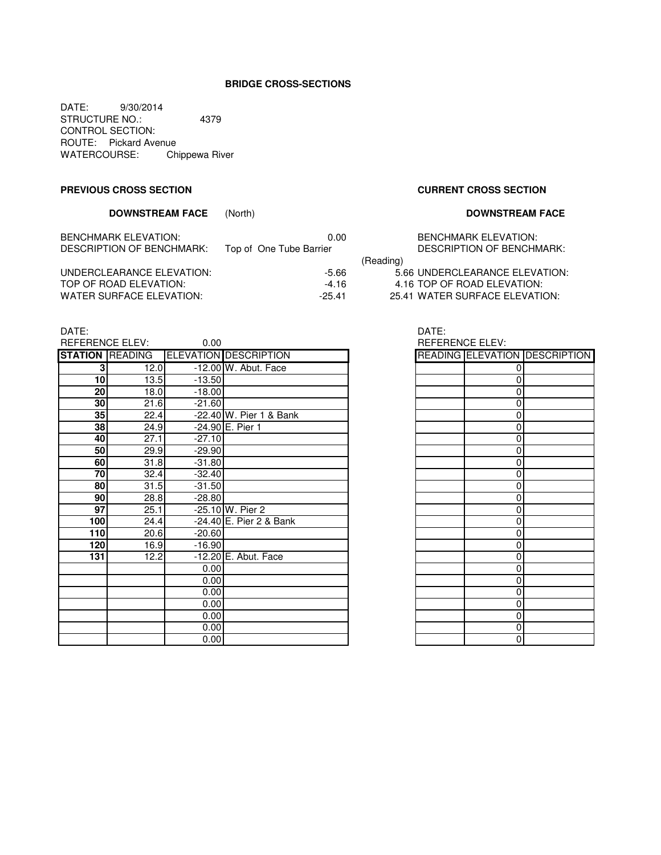## **BRIDGE CROSS-SECTIONS**

DATE: 9/30/2014 STRUCTURE NO.: 4379 CONTROL SECTION: ROUTE: Pickard Avenue WATERCOURSE: Chippewa River

### **PREVIOUS CROSS SECTION CURRENT CROSS SECTION**

# **DOWNSTREAM FACE** (North) **DOWNSTREAM FACE**

| <b>BENCHMARK ELEVATION:</b> | 0.00                    |           | <b>BENCHMARK ELEVATION:</b>    |
|-----------------------------|-------------------------|-----------|--------------------------------|
| DESCRIPTION OF BENCHMARK:   | Top of One Tube Barrier |           | DESCRIPTION OF BENCHMARK:      |
|                             |                         | (Reading) |                                |
| UNDERCLEARANCE ELEVATION:   | -5.66                   |           | 5.66 UNDERCLEARANCE ELEVATION: |
| TOP OF ROAD ELEVATION:      | -4.16                   |           | 4.16 TOP OF ROAD ELEVATION:    |
| WATER SURFACE ELEVATION:    | $-25.41$                |           | 25.41 WATER SURFACE ELEVATION: |

|           | <b>BENCHMARK ELEVATION:</b><br><b>DESCRIPTION OF BENCHMARK:</b> |
|-----------|-----------------------------------------------------------------|
| (Reading) |                                                                 |
|           | 5.66 UNDERCLEARANCE ELEVATION                                   |
|           | 4.16 TOP OF ROAD ELEVATION:                                     |

DATE: DATE:

| ----            |      |                     |                                       |                 |          |                                      |
|-----------------|------|---------------------|---------------------------------------|-----------------|----------|--------------------------------------|
| REFERENCE ELEV: |      | 0.00                |                                       | REFERENCE ELEV: |          |                                      |
|                 |      |                     | STATION READING ELEVATION DESCRIPTION |                 |          | <b>READING ELEVATION DESCRIPTION</b> |
| 3 <sup>1</sup>  | 12.0 |                     | -12.00 W. Abut. Face                  |                 |          |                                      |
| 10 <sup>1</sup> | 13.5 | $-13.50$            |                                       |                 | $\Omega$ |                                      |
| 20              | 18.0 | $-18.00$            |                                       |                 | 0        |                                      |
| 30              | 21.6 | $-21.60$            |                                       |                 | 0        |                                      |
| 35              | 22.4 |                     | -22.40 W. Pier 1 & Bank               |                 | 0        |                                      |
| 38              | 24.9 |                     | $-24.90$ E. Pier 1                    |                 | 0        |                                      |
| 40              | 27.1 | $-27.10$            |                                       |                 | 0        |                                      |
| 50              | 29.9 | $-29.90$            |                                       |                 | 0        |                                      |
| 60              | 31.8 | $-31.80$            |                                       |                 | $\Omega$ |                                      |
| 70              | 32.4 | $-32.40$            |                                       |                 | 0        |                                      |
| 80              | 31.5 | $-31.\overline{50}$ |                                       |                 | 0        |                                      |
| 90 <sub>l</sub> | 28.8 | $-28.80$            |                                       |                 | $\Omega$ |                                      |
| 97              | 25.1 |                     | -25.10 W. Pier 2                      |                 | 0        |                                      |
| 100             | 24.4 |                     | -24.40 E. Pier 2 & Bank               |                 | 0        |                                      |
| 110             | 20.6 | $-20.60$            |                                       |                 | 0        |                                      |
| 120             | 16.9 | $-16.90$            |                                       |                 | 0        |                                      |
| 131             | 12.2 |                     | -12.20 E. Abut. Face                  |                 | 0        |                                      |
|                 |      | 0.00                |                                       |                 | 0        |                                      |
|                 |      | 0.00                |                                       |                 | 0        |                                      |
|                 |      | 0.00                |                                       |                 | 0        |                                      |
|                 |      | 0.00                |                                       |                 | 0        |                                      |
|                 |      | 0.00                |                                       |                 | 0        |                                      |
|                 |      | 0.00                |                                       |                 | 0        |                                      |
|                 |      | 0.00                |                                       |                 | 0        |                                      |

|   | READING ELEVATION DESCRIPTION |
|---|-------------------------------|
| 0 |                               |
| 0 |                               |
| 0 |                               |
| 0 |                               |
| 0 |                               |
| 0 |                               |
| 0 |                               |
| 0 |                               |
| 0 |                               |
| 0 |                               |
| 0 |                               |
| 0 |                               |
| 0 |                               |
| 0 |                               |
| 0 |                               |
| 0 |                               |
| 0 |                               |
| 0 |                               |
| 0 |                               |
| 0 |                               |
| 0 |                               |
| 0 |                               |
| 0 |                               |
| 0 |                               |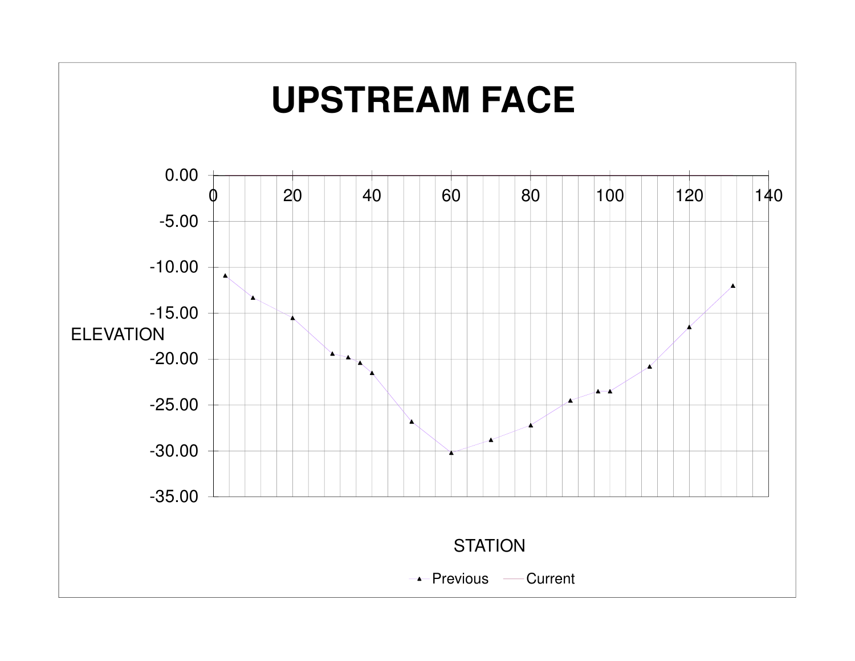